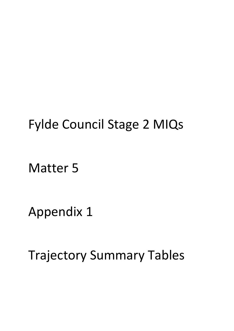## Fylde Council Stage 2 MIQs

Matter 5

Appendix 1

Trajectory Summary Tables